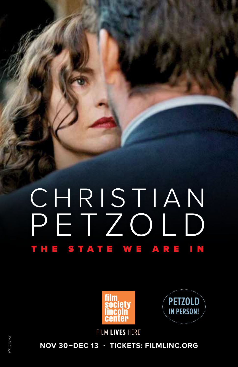# CHRISTIAN PETZOLD THE STATE WE ARE IN





FILM LIVES HERET

**NOV 30–DEC 13 . TICKETS: FILMLINC.ORG**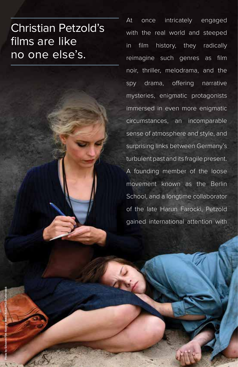## Christian Petzold's films are like no one else's.

At once intricately engaged with the real world and steeped in film history, they radically reimagine such genres as film noir, thriller, melodrama, and the spy drama, offering narrative mysteries, enigmatic protagonists immersed in even more enigmatic circumstances, an incomparable sense of atmosphere and style, and surprising links between Germany's turbulent past and its fragile present. A founding member of the loose movement known as the Berlin School, and a longtime collaborator of the late Harun Farocki, Petzold gained international attention with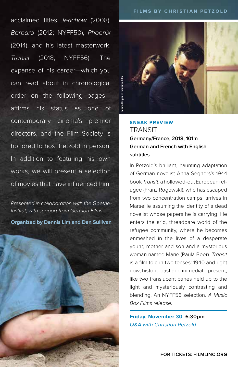acclaimed titles *Jerichow* (2008), *Barbara* (2012; NYFF50), *Phoenix*  (2014), and his latest masterwork, *Transit* (2018; NYFF56). The expanse of his career—which you can read about in chronological order on the following pages affirms his status as one of contemporary cinema's premier directors, and the Film Society is honored to host Petzold in person. In addition to featuring his own works, we will present a selection of movies that have influenced him.

*Presented in collaboration with the Goethe-Institut, with support from German Films*

**Organized by Dennis Lim and Dan Sullivan**





### **SNEAK PREVIEW TRANSIT Germany/France, 2018, 101m German and French with English subtitles**

In Petzold's brilliant, haunting adaptation of German novelist Anna Seghers's 1944 book *Transit*, a hollowed-out European refugee (Franz Rogowski), who has escaped from two concentration camps, arrives in Marseille assuming the identity of a dead novelist whose papers he is carrying. He enters the arid, threadbare world of the refugee community, where he becomes enmeshed in the lives of a desperate young mother and son and a mysterious woman named Marie (Paula Beer). *Transit* is a film told in two tenses: 1940 and right now, historic past and immediate present, like two translucent panes held up to the light and mysteriously contrasting and blending. An NYFF56 selection. *A Music Box Films release*.

**Friday, November 30 6:30pm** Q&A with Christian Petzold

**FOR TICKETS: FILMLINC.ORG**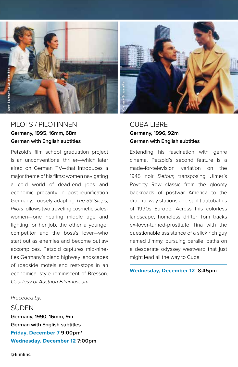

### PILOTS / PILOTINNEN **Germany, 1995, 16mm, 68m German with English subtitles**

Petzold's film school graduation project is an unconventional thriller—which later aired on German TV—that introduces a major theme of his films: women navigating a cold world of dead-end jobs and economic precarity in post-reunification Germany. Loosely adapting *The 39 Steps*, *Pilots* follows two traveling cosmetic saleswomen—one nearing middle age and fighting for her job, the other a younger competitor and the boss's lover—who start out as enemies and become outlaw accomplices. Petzold captures mid-nineties Germany's bland highway landscapes of roadside motels and rest-stops in an economical style reminiscent of Bresson. *Courtesy of Austrian Filmmuseum.*

### *Preceded by:*

SÜDEN **Germany, 1990, 16mm, 9m German with English subtitles Friday, December 7 9:00pm\* Wednesday, December 12 7:00pm**

### CUBA LIBRE **Germany, 1996, 92m German with English subtitles**

Extending his fascination with genre cinema, Petzold's second feature is a made-for-television variation on the 1945 noir *Detour*, transposing Ulmer's Poverty Row classic from the gloomy backroads of postwar America to the drab railway stations and sunlit autobahns of 1990s Europe. Across this colorless landscape, homeless drifter Tom tracks ex-lover-turned-prostitute Tina with the questionable assistance of a slick rich guy named Jimmy, pursuing parallel paths on a desperate odyssey westward that just might lead all the way to Cuba.

**Wednesday, December 12 8:45pm**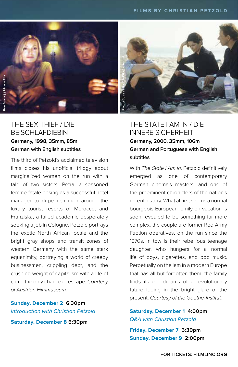

### THE SEX THIEF / DIE BEISCHLAFDIEBIN **Germany, 1998, 35mm, 85m German with English subtitles**

The third of Petzold's acclaimed television films closes his unofficial trilogy about marginalized women on the run with a tale of two sisters: Petra, a seasoned femme fatale posing as a successful hotel manager to dupe rich men around the luxury tourist resorts of Morocco, and Franziska, a failed academic desperately seeking a job in Cologne. Petzold portrays the exotic North African locale and the bright gray shops and transit zones of western Germany with the same stark equanimity, portraying a world of creepy businessmen, crippling debt, and the crushing weight of capitalism with a life of crime the only chance of escape. *Courtesy of Austrian Filmmuseum.*

### **Sunday, December 2 6:30pm** Introduction with Christian Petzold

**Saturday, December 8 6:30pm**

### THE STATE I AM IN / DIE INNERE SICHERHEIT **Germany, 2000, 35mm, 106m German and Portuguese with English subtitles**

With *The State I Am In*, Petzold definitively emerged as one of contemporary German cinema's masters—and one of the preeminent chroniclers of the nation's recent history. What at first seems a normal bourgeois European family on vacation is soon revealed to be something far more complex: the couple are former Red Army Faction operatives, on the run since the 1970s. In tow is their rebellious teenage daughter, who hungers for a normal life of boys, cigarettes, and pop music. Perpetually on the lam in a modern Europe that has all but forgotten them, the family finds its old dreams of a revolutionary future fading in the bright glare of the present. *Courtesy of the Goethe-Institut.*

### **Saturday, December 1 4:00pm** Q&A with Christian Petzold

**Friday, December 7 6:30pm Sunday, December 9 2:00pm**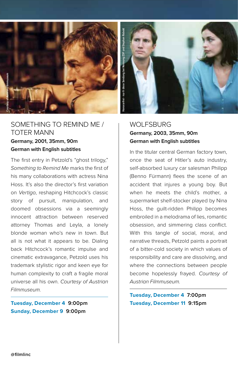

### SOMETHING TO REMIND ME / TOTER MANN **Germany, 2001, 35mm, 90m German with English subtitles**

The first entry in Petzold's "ghost trilogy," *Something to Remind Me* marks the first of his many collaborations with actress Nina Hoss. It's also the director's first variation on *Vertigo*, reshaping Hitchcock's classic story of pursuit, manipulation, and doomed obsessions via a seemingly innocent attraction between reserved attorney Thomas and Leyla, a lonely blonde woman who's new in town. But all is not what it appears to be. Dialing back Hitchcock's romantic impulse and cinematic extravagance, Petzold uses his trademark stylistic rigor and keen eye for human complexity to craft a fragile moral universe all his own. *Courtesy of Austrian Filmmuseum.*

**Tuesday, December 4 9:00pm Sunday, December 9 9:00pm**



### WOLFSBURG **Germany, 2003, 35mm, 90m German with English subtitles**

In the titular central German factory town, once the seat of Hitler's auto industry, self-absorbed luxury car salesman Philipp (Benno Fürmann) flees the scene of an accident that injures a young boy. But when he meets the child's mother, a supermarket shelf-stocker played by Nina Hoss, the guilt-ridden Philipp becomes embroiled in a melodrama of lies, romantic obsession, and simmering class conflict. With this tangle of social, moral, and narrative threads, Petzold paints a portrait of a bitter-cold society in which values of responsibility and care are dissolving, and where the connections between people become hopelessly frayed. *Courtesy of Austrian Filmmuseum.*

**Tuesday, December 4 7:00pm Tuesday, December 11 9:15pm**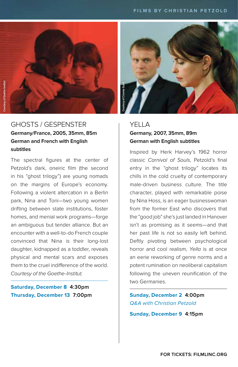

### GHOSTS / GESPENSTER **Germany/France, 2005, 35mm, 85m German and French with English subtitles**

The spectral figures at the center of Petzold's dark, oneiric film (the second in his "ghost trilogy") are young nomads on the margins of Europe's economy. Following a violent altercation in a Berlin park, Nina and Toni—two young women drifting between state institutions, foster homes, and menial work programs—forge an ambiguous but tender alliance. But an encounter with a well-to-do French couple convinced that Nina is their long-lost daughter, kidnapped as a toddler, reveals physical and mental scars and exposes them to the cruel indifference of the world. *Courtesy of the Goethe-Institut.*

### **Saturday, December 8 4:30pm Thursday, December 13 7:00pm**



### YFI I A **Germany, 2007, 35mm, 89m German with English subtitles**

Inspired by Herk Harvey's 1962 horror classic *Carnival of Souls*, Petzold's final entry in the "ghost trilogy" locates its chills in the cold cruelty of contemporary male-driven business culture. The title character, played with remarkable poise by Nina Hoss, is an eager businesswoman from the former East who discovers that the "good job" she's just landed in Hanover isn't as promising as it seems—and that her past life is not so easily left behind. Deftly pivoting between psychological horror and cool realism, *Yella* is at once an eerie reworking of genre norms and a potent rumination on neoliberal capitalism following the uneven reunification of the two Germanies.

**Sunday, December 2 4:00pm** Q&A with Christian Petzold **Sunday, December 9 4:15pm**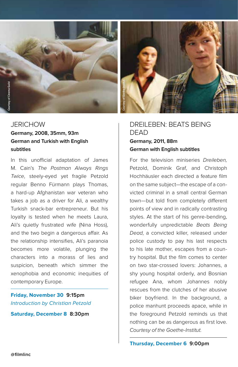

**subtitles**

### **JERICHOW Germany, 2008, 35mm, 93m German and Turkish with English**

In this unofficial adaptation of James M. Cain's *The Postman Always Rings Twice*, steely-eyed yet fragile Petzold regular Benno Fürmann plays Thomas, a hard-up Afghanistan war veteran who takes a job as a driver for Ali, a wealthy Turkish snack-bar entrepreneur. But his loyalty is tested when he meets Laura, Ali's quietly frustrated wife (Nina Hoss), and the two begin a dangerous affair. As the relationship intensifies, Ali's paranoia becomes more volatile, plunging the characters into a morass of lies and suspicion, beneath which simmer the xenophobia and economic inequities of contemporary Europe.

**Friday, November 30 9:15pm** Introduction by Christian Petzold

**Saturday, December 8 8:30pm**



### DREILEBEN: BEATS BEING DEAD **Germany, 2011, 88m German with English subtitles**

For the television miniseries *Dreileben,*  Petzold, Dominik Graf, and Christoph Hochhäusler each directed a feature film on the same subject—the escape of a convicted criminal in a small central German town—but told from completely different points of view and in radically contrasting styles. At the start of his genre-bending, wonderfully unpredictable *Beats Being Dead*, a convicted killer, released under police custody to pay his last respects to his late mother, escapes from a country hospital. But the film comes to center on two star-crossed lovers: Johannes, a shy young hospital orderly, and Bosnian refugee Ana, whom Johannes nobly rescues from the clutches of her abusive biker boyfriend. In the background, a police manhunt proceeds apace, while in the foreground Petzold reminds us that nothing can be as dangerous as first love. *Courtesy of the Goethe-Institut.*

**Thursday, December 6 9:00pm**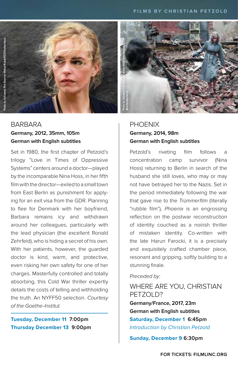

### **BARBARA Germany, 2012, 35mm, 105m German with English subtitles**

Set in 1980, the first chapter of Petzold's trilogy "Love in Times of Oppressive Systems" centers around a doctor—played by the incomparable Nina Hoss, in her fifth film with the director—exiled to a small town from East Berlin as punishment for applying for an exit visa from the GDR. Planning to flee for Denmark with her boyfriend, Barbara remains icy and withdrawn around her colleagues, particularly with the lead physician (the excellent Ronald Zehrfeld), who is hiding a secret of his own. With her patients, however, the guarded doctor is kind, warm, and protective, even risking her own safety for one of her charges. Masterfully controlled and totally absorbing, this Cold War thriller expertly details the costs of telling and withholding the truth. An NYFF50 selection. *Courtesy of the Goethe-Institut.*

### **Tuesday, December 11 7:00pm Thursday December 13 9:00pm**



### PHOENIX **Germany, 2014, 98m German with English subtitles**

Petzold's riveting film follows a concentration camp survivor (Nina Hoss) returning to Berlin in search of the husband she still loves, who may or may not have betrayed her to the Nazis. Set in the period immediately following the war that gave rise to the *Trümmerfilm* (literally "rubble film"), *Phoenix* is an engrossing reflection on the postwar reconstruction of identity couched as a noirish thriller of mistaken identity. Co-written with the late Harun Farocki, it is a precisely and exquisitely crafted chamber piece, resonant and gripping, softly building to a stunning finale.

#### *Preceded by:*

WHERE ARE YOU, CHRISTIAN PETZOLD? **Germany/France, 2017, 23m German with English subtitles Saturday, December 1 6:45pm** Introduction by Christian Petzold

**Sunday, December 9 6:30pm**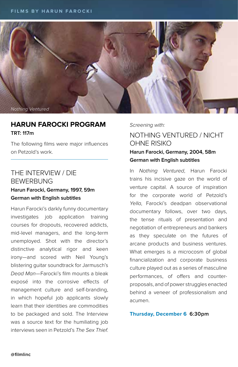

### **HARUN FAROCKI PROGRAM TRT: 117m**

The following films were major influences on Petzold's work.

### THE INTERVIEW / DIE BEWERBUNG

#### **Harun Farocki, Germany, 1997, 59m German with English subtitles**

Harun Farocki's darkly funny documentary investigates job application training courses for dropouts, recovered addicts, mid-level managers, and the long-term unemployed. Shot with the director's distinctive analytical rigor and keen irony—and scored with Neil Young's blistering guitar soundtrack for Jarmusch's *Dead Man*—Farocki's film mounts a bleak exposé into the corrosive effects of management culture and self-branding, in which hopeful job applicants slowly learn that their identities are commodities to be packaged and sold. The Interview was a source text for the humiliating job interviews seen in Petzold's *The Sex Thief*.

*Screening with:*

### NOTHING VENTURED / NICHT OHNE RISIKO **Harun Farocki, Germany, 2004, 58m German with English subtitles**

In *Nothing Ventured*, Harun Farocki trains his incisive gaze on the world of venture capital. A source of inspiration for the corporate world of Petzold's *Yella*, Farocki's deadpan observational documentary follows, over two days, the tense rituals of presentation and negotiation of entrepreneurs and bankers as they speculate on the futures of arcane products and business ventures. What emerges is a microcosm of global financialization and corporate business culture played out as a series of masculine performances, of offers and counterproposals, and of power struggles enacted behind a veneer of professionalism and acumen.

#### **Thursday, December 6 6:30pm**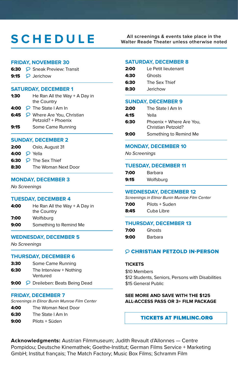### **All screenings & events take place in the SCHEDULE Walter Reade Theater unless otherwise noted**

#### **FRIDAY, NOVEMBER 30**

| <b>6:30</b> $\heartsuit$ Sneak Preview: Transit |  |
|-------------------------------------------------|--|
|-------------------------------------------------|--|

9:15  $\heartsuit$  Jerichow

#### **SATURDAY, DECEMBER 1**

| 1:30 | He Ran All the Way $+$ A Day in   |  |
|------|-----------------------------------|--|
|      | the Country                       |  |
|      | 4:00 $\bigcirc$ The State I Am In |  |
|      | 6:45 > Where Are You, Christian   |  |

- Petzold? + Phoenix
- 9:15 Some Came Running

#### **SUNDAY, DECEMBER 2**

| 2:00 | Oslo, August 31                 |  |
|------|---------------------------------|--|
|      | 4:00 $\heartsuit$ Yella         |  |
|      | 6:30 $\heartsuit$ The Sex Thief |  |
| 8:30 | The Woman Next Door             |  |

#### **MONDAY, DECEMBER 3**

No Screenings

#### **TUESDAY, DECEMBER 4**

| 4:00 | He Ran All the Way $+$ A Day in<br>the Country |
|------|------------------------------------------------|
| 7:00 | Wolfsbura                                      |
| 9:00 | Something to Remind Me                         |

#### **WEDNESDAY, DECEMBER 5**

No Screenings

#### **THURSDAY, DECEMBER 6**

| 3:30 | Some Came Running                   |  |
|------|-------------------------------------|--|
| 6:30 | The Interview + Nothing<br>Ventured |  |
|      |                                     |  |

9:00 P Dreileben: Beats Being Dead

#### **FRIDAY, DECEMBER 7**

Screenings in Elinor Bunin Munroe Film Center

- 4:00 The Woman Next Door
- 6:30 The State I Am In
- 9:00 Pilots + Süden

#### **SATURDAY, DECEMBER 8**

| 2:00<br>Le Petit lieutenant |
|-----------------------------|
|-----------------------------|

- **4:30** Ghosts
- 6:30 The Sex Thief
- 8:30 Jerichow

#### **SUNDAY, DECEMBER 9**

| 2:00 | The State I Am In                              |  |
|------|------------------------------------------------|--|
| 4:15 | Yella                                          |  |
| 6:30 | Phoenix + Where Are You,<br>Christian Petzold? |  |
| 9:00 | Something to Remind Me                         |  |

#### **MONDAY, DECEMBER 10**

No Screenings

#### **TUESDAY, DECEMBER 11**

| 7:00 | Barbara   |
|------|-----------|
| 9:15 | Wolfsburg |

#### **WEDNESDAY, DECEMBER 12**

Screenings in Elinor Bunin Munroe Film Center

7:00 Pilots + Suden 8:45 Cuba Libre

#### **THURSDAY, DECEMBER 13**

| 7:00 | Ghosts  |
|------|---------|
| 9:00 | Barbara |

#### CHRISTIAN PETZOLD IN-PERSON

#### **TICKETS**

\$10 Members \$12 Students, Seniors, Persons with Disabilities \$15 General Public

#### **SEE MORE AND SAVE WITH THE \$125 ALL-ACCESS PASS OR 3+ FILM PACKAGE**

#### TICKETS AT FILMLINC.ORG

**Acknowledgments:** Austrian Filmmuseum; Judith Revault d'Allonnes — Centre Pompidou; Deutsche Kinemathek; Goethe-Institut; German Films Service + Marketing GmbH; Institut français; The Match Factory; Music Box Films; Schramm Film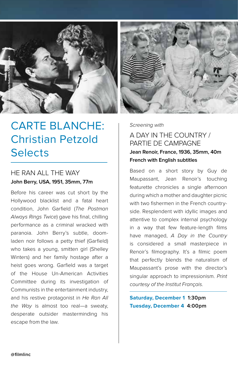

### CARTE BLANCHE: Christian Petzold **Selects**

### HE RAN ALL THE WAY **John Berry, USA, 1951, 35mm, 77m**

Before his career was cut short by the Hollywood blacklist and a fatal heart condition, John Garfield (*The Postman Always Rings Twice*) gave his final, chilling performance as a criminal wracked with paranoia. John Berry's subtle, doomladen noir follows a petty thief (Garfield) who takes a young, smitten girl (Shelley Winters) and her family hostage after a heist goes wrong. Garfield was a target of the House Un-American Activities Committee during its investigation of Communists in the entertainment industry, and his restive protagonist in *He Ran All the Way* is almost too real—a sweaty, desperate outsider masterminding his escape from the law.

*Screening with* 

### A DAY IN THE COUNTRY / PARTIE DE CAMPAGNE **Jean Renoir, France, 1936, 35mm, 40m French with English subtitles**

Based on a short story by Guy de Maupassant, Jean Renoir's touching featurette chronicles a single afternoon during which a mother and daughter picnic with two fishermen in the French countryside. Resplendent with idyllic images and attentive to complex internal psychology in a way that few feature-length films have managed, *A Day in the Country* is considered a small masterpiece in Renoir's filmography. It's a filmic poem that perfectly blends the naturalism of Maupassant's prose with the director's singular approach to impressionism. *Print courtesy of the Institut Français.*

**Saturday, December 1 1:30pm Tuesday, December 4 4:00pm**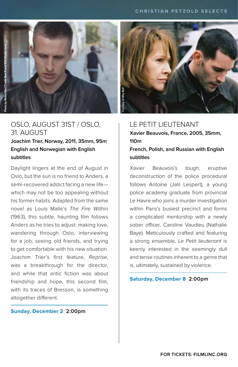

### OSLO, AUGUST 31ST / OSLO, 31. AUGUST

**Joachim Trier, Norway, 2011, 35mm, 95m English and Norwegian with English subtitles**

Daylight lingers at the end of August in Oslo, but the sun is no friend to Anders, a semi-recovered addict facing a new life which may not be too appealing without his former habits. Adapted from the same novel as Louis Malle's *The Fire Within* (1963), this subtle, haunting film follows Anders as he tries to adjust: making love, wandering through Oslo, interviewing for a job, seeing old friends, and trying to get comfortable with his new situation. Joachim Trier's first feature, *Reprise*, was a breakthrough for the director, and while that antic fiction was about friendship and hope, this second film, with its traces of Bresson, is something altogether different.

#### **Sunday, December 2 2:00pm**



### LE PETIT LIEUTENANT

**Xavier Beauvois, France, 2005, 35mm, 110m**

**French, Polish, and Russian with English subtitles**

Xavier Beauvois's tough, eruptive deconstruction of the police procedural follows Antoine (Jalil Lespert), a young police academy graduate from provincial Le Havre who joins a murder investigation within Paris's busiest precinct and forms a complicated mentorship with a newly sober officer, Caroline Vaudieu (Nathalie Baye). Meticulously crafted and featuring a strong ensemble, *Le Petit lieutenant* is keenly interested in the seemingly dull and tense routines inherent to a genre that is, ultimately, sustained by violence.

**Saturday, December 8 2:00pm**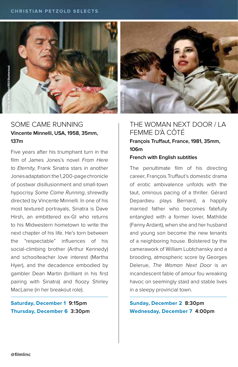



### SOME CAME RUNNING **Vincente Minnelli, USA, 1958, 35mm, 137m**

Five years after his triumphant turn in the film of James Jones's novel *From Here to Eternity*, Frank Sinatra stars in another Jones adaptation: the 1,200-page chronicle of postwar disillusionment and small-town hypocrisy *Some Came Running*, shrewdly directed by Vincente Minnelli. In one of his most textured portrayals, Sinatra is Dave Hirsh, an embittered ex-GI who returns to his Midwestern hometown to write the next chapter of his life. He's torn between the "respectable" influences of his social-climbing brother (Arthur Kennedy) and schoolteacher love interest (Martha Hyer), and the decadence embodied by gambler Dean Martin (brilliant in his first pairing with Sinatra) and floozy Shirley MacLaine (in her breakout role).

### **Saturday, December 1 9:15pm Thursday, December 6 3:30pm**

### THE WOMAN NEXT DOOR / LA FEMME D'À CÔTÉ

**François Truffaut, France, 1981, 35mm, 106m**

#### **French with English subtitles**

The penultimate film of his directing career, François Truffaut's domestic drama of erotic ambivalence unfolds with the taut, ominous pacing of a thriller. Gérard Depardieu plays Bernard, a happily married father who becomes fatefully entangled with a former lover, Mathilde (Fanny Ardant), when she and her husband and young son become the new tenants of a neighboring house. Bolstered by the camerawork of William Lubtchansky and a brooding, atmospheric score by Georges Delerue, *The Woman Next Door* is an incandescent fable of amour fou wreaking havoc on seemingly staid and stable lives in a sleepy provincial town.

**Sunday, December 2 8:30pm Wednesday, December 7 4:00pm**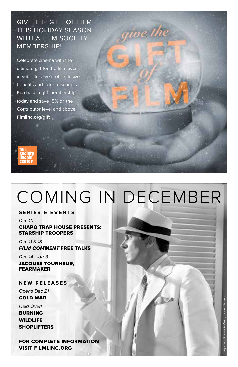GIVE THE GIFT OF FILM THIS HOLIDAY SEASON WITH A FILM SOCIETY MEMBERSHIP!

Celebrate cinema with the ultimate gift for the film lover in your life: a year of exclusive benefits and ticket discounts. Purchase a gift membership today and save 15% on the Contributor level and above: **filmlinc.org/gift**



## COMING IN DECEMBER

oe the

**SERIES & EVENTS**

Dec 10

CHAPO TRAP HOUSE PRESENTS: STARSHIP TROOPERS

Dec 11 & 13 FILM COMMENT FREE TALKS

Dec 14–Jan 3 JACQUES TOURNEUR, FEARMAKER

**NEW RELEASES**

Opens Dec 21 COLD WAR

Held Over! BURNING WILDLIFE **SHOPLIFTERS** 

FOR COMPLETE INFORMATION VISIT FILMLINC.ORG